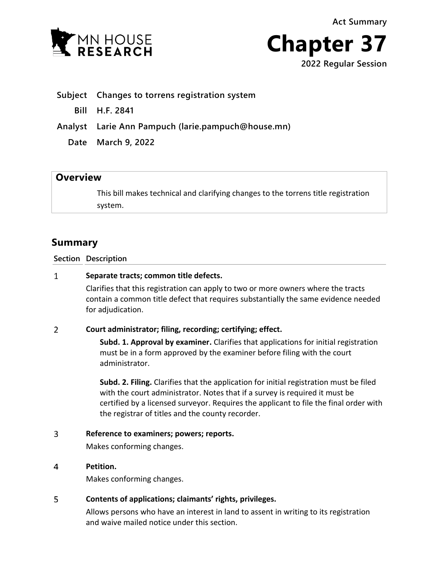**Act Summary**





- **Subject Changes to torrens registration system**
	- **Bill H.F. 2841**

**Analyst Larie Ann Pampuch (larie.pampuch@house.mn)**

**Date March 9, 2022**

# **Overview**

This bill makes technical and clarifying changes to the torrens title registration system.

# **Summary**

**Section Description**

#### $\mathbf{1}$ **Separate tracts; common title defects.**

Clarifies that this registration can apply to two or more owners where the tracts contain a common title defect that requires substantially the same evidence needed for adjudication.

### $\overline{2}$ **Court administrator; filing, recording; certifying; effect.**

**Subd. 1. Approval by examiner.** Clarifies that applications for initial registration must be in a form approved by the examiner before filing with the court administrator.

**Subd. 2. Filing.** Clarifies that the application for initial registration must be filed with the court administrator. Notes that if a survey is required it must be certified by a licensed surveyor. Requires the applicant to file the final order with the registrar of titles and the county recorder.

#### 3 **Reference to examiners; powers; reports.**

Makes conforming changes.

#### $\overline{4}$ **Petition.**

Makes conforming changes.

### 5 **Contents of applications; claimants' rights, privileges.**

Allows persons who have an interest in land to assent in writing to its registration and waive mailed notice under this section.